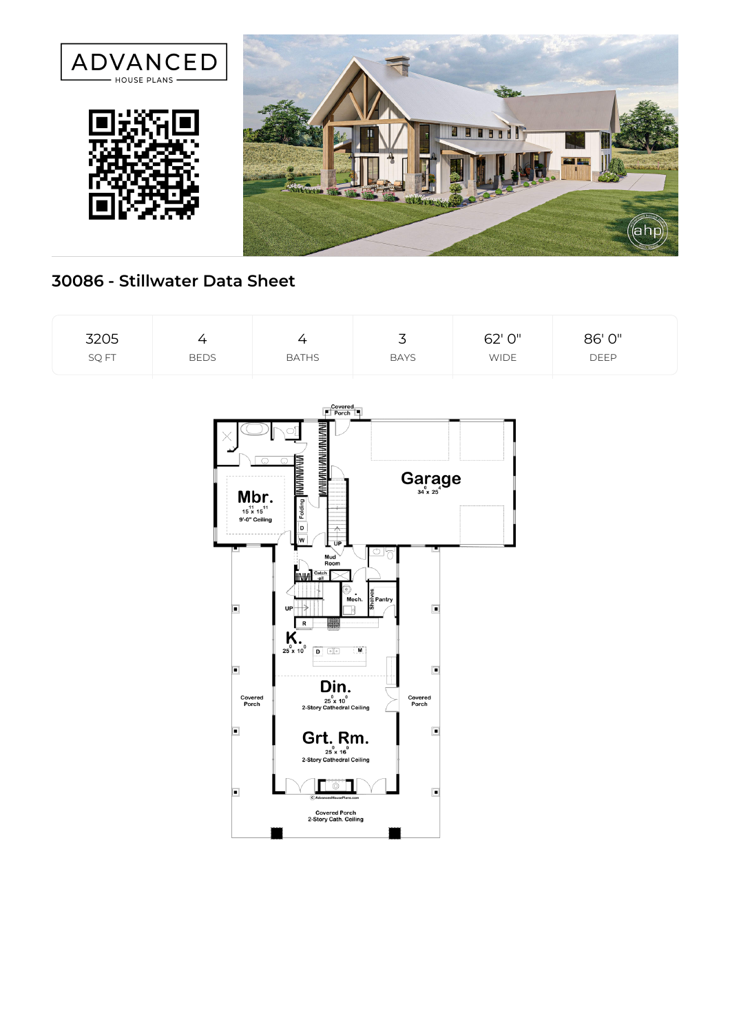

## **30086 - Stillwater Data Sheet**

| 3205  | ▵           | $^+$         | ٮ           | 62' 0"      | 86' 0"      |  |
|-------|-------------|--------------|-------------|-------------|-------------|--|
| SQ FT | <b>BEDS</b> | <b>BATHS</b> | <b>BAYS</b> | <b>WIDE</b> | <b>DEEP</b> |  |

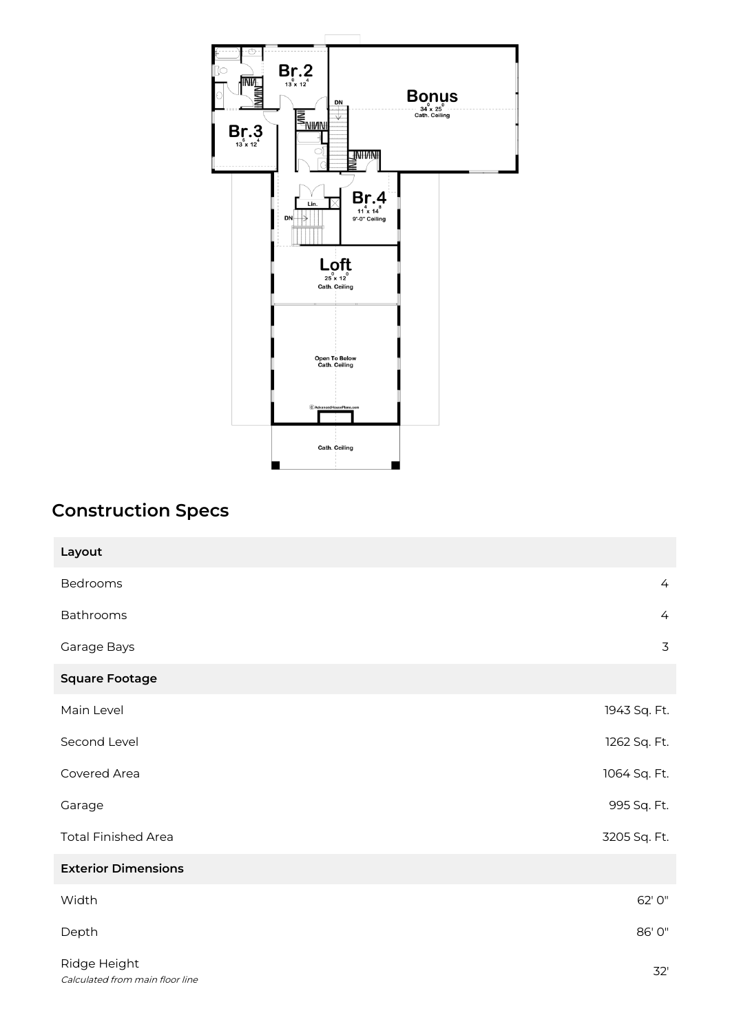

## **Construction Specs**

| Layout                                          |                |
|-------------------------------------------------|----------------|
| Bedrooms                                        | $\overline{4}$ |
| Bathrooms                                       | $\overline{4}$ |
| Garage Bays                                     | $\overline{3}$ |
| <b>Square Footage</b>                           |                |
| Main Level                                      | 1943 Sq. Ft.   |
| Second Level                                    | 1262 Sq. Ft.   |
| Covered Area                                    | 1064 Sq. Ft.   |
| Garage                                          | 995 Sq. Ft.    |
| <b>Total Finished Area</b>                      | 3205 Sq. Ft.   |
| <b>Exterior Dimensions</b>                      |                |
| Width                                           | 62' 0"         |
| Depth                                           | 86' 0"         |
| Ridge Height<br>Calculated from main floor line | 32'            |